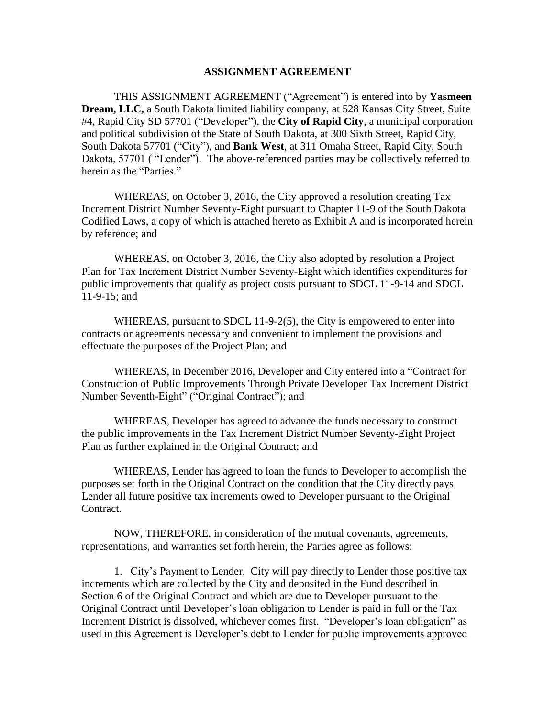## **ASSIGNMENT AGREEMENT**

THIS ASSIGNMENT AGREEMENT ("Agreement") is entered into by **Yasmeen Dream, LLC,** a South Dakota limited liability company, at 528 Kansas City Street, Suite #4, Rapid City SD 57701 ("Developer"), the **City of Rapid City**, a municipal corporation and political subdivision of the State of South Dakota, at 300 Sixth Street, Rapid City, South Dakota 57701 ("City"), and **Bank West**, at 311 Omaha Street, Rapid City, South Dakota, 57701 ("Lender"). The above-referenced parties may be collectively referred to herein as the "Parties."

WHEREAS, on October 3, 2016, the City approved a resolution creating Tax Increment District Number Seventy-Eight pursuant to Chapter 11-9 of the South Dakota Codified Laws, a copy of which is attached hereto as Exhibit A and is incorporated herein by reference; and

WHEREAS, on October 3, 2016, the City also adopted by resolution a Project Plan for Tax Increment District Number Seventy-Eight which identifies expenditures for public improvements that qualify as project costs pursuant to SDCL 11-9-14 and SDCL 11-9-15; and

WHEREAS, pursuant to SDCL 11-9-2(5), the City is empowered to enter into contracts or agreements necessary and convenient to implement the provisions and effectuate the purposes of the Project Plan; and

WHEREAS, in December 2016, Developer and City entered into a "Contract for Construction of Public Improvements Through Private Developer Tax Increment District Number Seventh-Eight" ("Original Contract"); and

WHEREAS, Developer has agreed to advance the funds necessary to construct the public improvements in the Tax Increment District Number Seventy-Eight Project Plan as further explained in the Original Contract; and

WHEREAS, Lender has agreed to loan the funds to Developer to accomplish the purposes set forth in the Original Contract on the condition that the City directly pays Lender all future positive tax increments owed to Developer pursuant to the Original Contract.

NOW, THEREFORE, in consideration of the mutual covenants, agreements, representations, and warranties set forth herein, the Parties agree as follows:

1. City's Payment to Lender. City will pay directly to Lender those positive tax increments which are collected by the City and deposited in the Fund described in Section 6 of the Original Contract and which are due to Developer pursuant to the Original Contract until Developer's loan obligation to Lender is paid in full or the Tax Increment District is dissolved, whichever comes first. "Developer's loan obligation" as used in this Agreement is Developer's debt to Lender for public improvements approved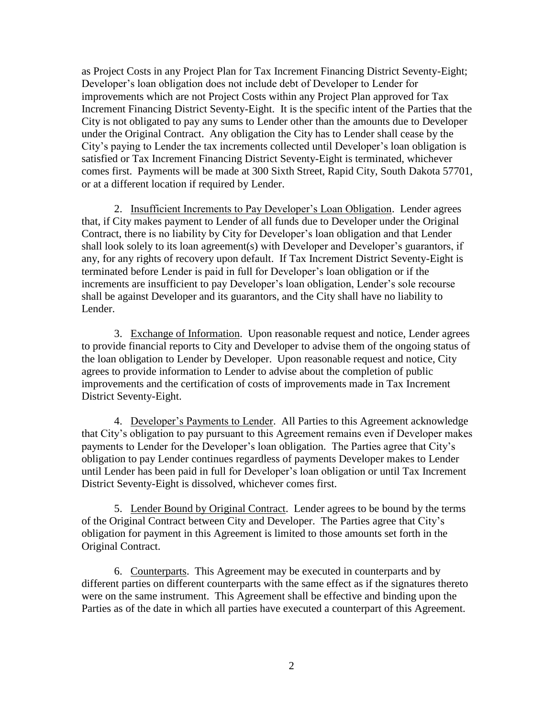as Project Costs in any Project Plan for Tax Increment Financing District Seventy-Eight; Developer's loan obligation does not include debt of Developer to Lender for improvements which are not Project Costs within any Project Plan approved for Tax Increment Financing District Seventy-Eight. It is the specific intent of the Parties that the City is not obligated to pay any sums to Lender other than the amounts due to Developer under the Original Contract. Any obligation the City has to Lender shall cease by the City's paying to Lender the tax increments collected until Developer's loan obligation is satisfied or Tax Increment Financing District Seventy-Eight is terminated, whichever comes first. Payments will be made at 300 Sixth Street, Rapid City, South Dakota 57701, or at a different location if required by Lender.

2. Insufficient Increments to Pay Developer's Loan Obligation. Lender agrees that, if City makes payment to Lender of all funds due to Developer under the Original Contract, there is no liability by City for Developer's loan obligation and that Lender shall look solely to its loan agreement(s) with Developer and Developer's guarantors, if any, for any rights of recovery upon default. If Tax Increment District Seventy-Eight is terminated before Lender is paid in full for Developer's loan obligation or if the increments are insufficient to pay Developer's loan obligation, Lender's sole recourse shall be against Developer and its guarantors, and the City shall have no liability to Lender.

3. Exchange of Information. Upon reasonable request and notice, Lender agrees to provide financial reports to City and Developer to advise them of the ongoing status of the loan obligation to Lender by Developer. Upon reasonable request and notice, City agrees to provide information to Lender to advise about the completion of public improvements and the certification of costs of improvements made in Tax Increment District Seventy-Eight.

4. Developer's Payments to Lender. All Parties to this Agreement acknowledge that City's obligation to pay pursuant to this Agreement remains even if Developer makes payments to Lender for the Developer's loan obligation. The Parties agree that City's obligation to pay Lender continues regardless of payments Developer makes to Lender until Lender has been paid in full for Developer's loan obligation or until Tax Increment District Seventy-Eight is dissolved, whichever comes first.

5. Lender Bound by Original Contract. Lender agrees to be bound by the terms of the Original Contract between City and Developer. The Parties agree that City's obligation for payment in this Agreement is limited to those amounts set forth in the Original Contract.

6. Counterparts. This Agreement may be executed in counterparts and by different parties on different counterparts with the same effect as if the signatures thereto were on the same instrument. This Agreement shall be effective and binding upon the Parties as of the date in which all parties have executed a counterpart of this Agreement.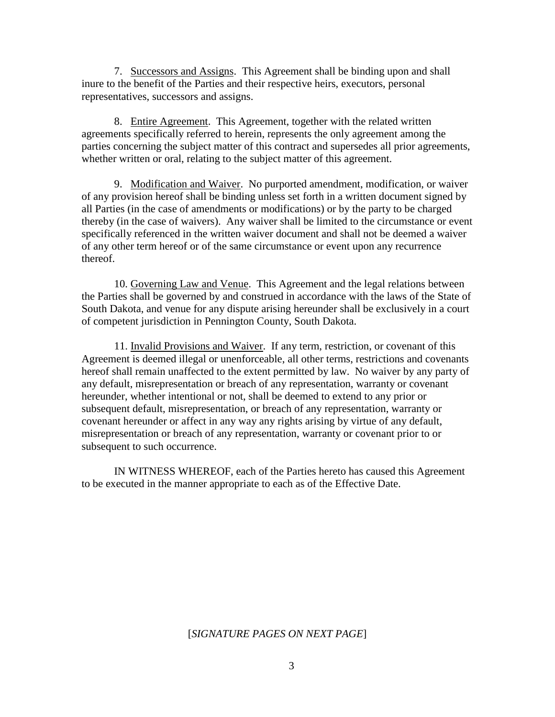7. Successors and Assigns. This Agreement shall be binding upon and shall inure to the benefit of the Parties and their respective heirs, executors, personal representatives, successors and assigns.

8. Entire Agreement. This Agreement, together with the related written agreements specifically referred to herein, represents the only agreement among the parties concerning the subject matter of this contract and supersedes all prior agreements, whether written or oral, relating to the subject matter of this agreement.

9. Modification and Waiver. No purported amendment, modification, or waiver of any provision hereof shall be binding unless set forth in a written document signed by all Parties (in the case of amendments or modifications) or by the party to be charged thereby (in the case of waivers). Any waiver shall be limited to the circumstance or event specifically referenced in the written waiver document and shall not be deemed a waiver of any other term hereof or of the same circumstance or event upon any recurrence thereof.

10. Governing Law and Venue. This Agreement and the legal relations between the Parties shall be governed by and construed in accordance with the laws of the State of South Dakota, and venue for any dispute arising hereunder shall be exclusively in a court of competent jurisdiction in Pennington County, South Dakota.

11. Invalid Provisions and Waiver. If any term, restriction, or covenant of this Agreement is deemed illegal or unenforceable, all other terms, restrictions and covenants hereof shall remain unaffected to the extent permitted by law. No waiver by any party of any default, misrepresentation or breach of any representation, warranty or covenant hereunder, whether intentional or not, shall be deemed to extend to any prior or subsequent default, misrepresentation, or breach of any representation, warranty or covenant hereunder or affect in any way any rights arising by virtue of any default, misrepresentation or breach of any representation, warranty or covenant prior to or subsequent to such occurrence.

IN WITNESS WHEREOF, each of the Parties hereto has caused this Agreement to be executed in the manner appropriate to each as of the Effective Date.

[*SIGNATURE PAGES ON NEXT PAGE*]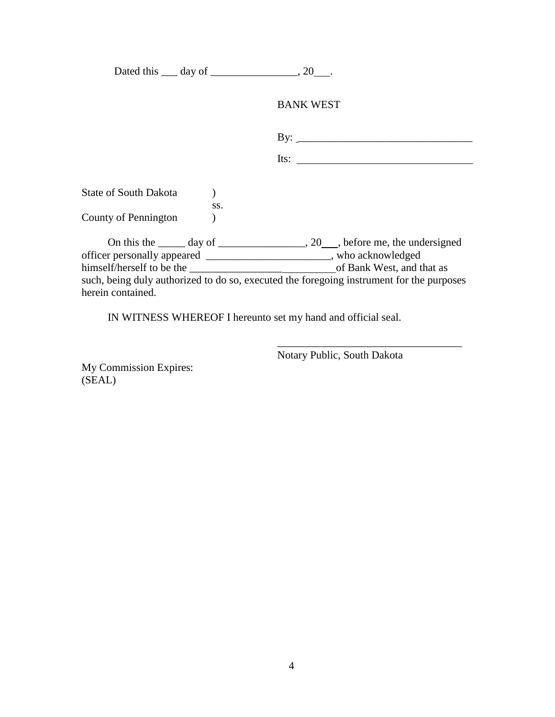Dated this  $\_\_$  day of  $\_\_$ , 20  $\_\_$ 

## BANK WEST

| Its: |  |  |
|------|--|--|

State of South Dakota (b) ss. County of Pennington )

On this the \_\_\_\_\_ day of \_\_\_\_\_\_\_\_\_\_\_\_\_\_, 20\_\_\_, before me, the undersigned officer personally appeared \_\_\_\_\_\_\_\_\_\_\_\_\_\_\_\_\_\_\_\_\_\_\_, who acknowledged himself/herself to be the \_\_\_\_\_\_\_\_\_\_\_\_\_\_\_\_\_ of Bank West, and that as such, being duly authorized to do so, executed the foregoing instrument for the purposes herein contained.

IN WITNESS WHEREOF I hereunto set my hand and official seal.

Notary Public, South Dakota

\_\_\_\_\_\_\_\_\_\_\_\_\_\_\_\_\_\_\_\_\_\_\_\_\_\_\_\_\_\_\_\_\_\_

My Commission Expires: (SEAL)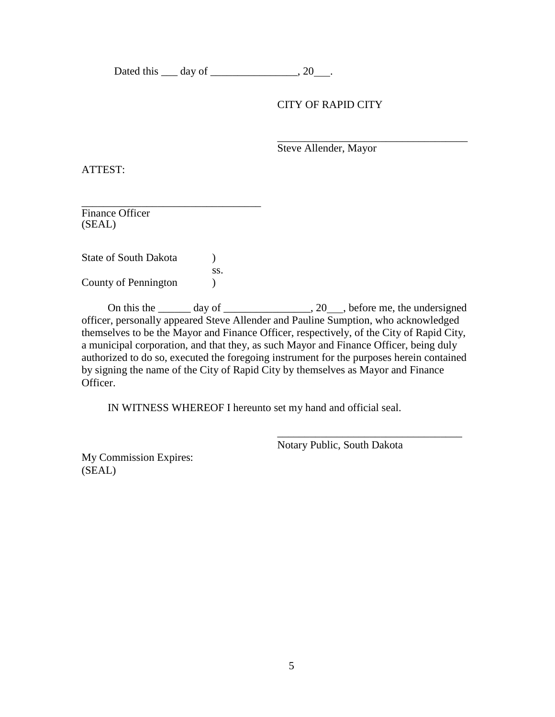Dated this  $\_\_$  day of  $\_\_$ , 20  $\_\_$ 

## CITY OF RAPID CITY

\_\_\_\_\_\_\_\_\_\_\_\_\_\_\_\_\_\_\_\_\_\_\_\_\_\_\_\_\_\_\_\_\_\_\_ Steve Allender, Mayor

ATTEST:

\_\_\_\_\_\_\_\_\_\_\_\_\_\_\_\_\_\_\_\_\_\_\_\_\_\_\_\_\_\_\_\_\_ Finance Officer (SEAL)

State of South Dakota (b) ss. County of Pennington )

On this the day of  $\qquad \qquad$  20, before me, the undersigned officer, personally appeared Steve Allender and Pauline Sumption, who acknowledged themselves to be the Mayor and Finance Officer, respectively, of the City of Rapid City, a municipal corporation, and that they, as such Mayor and Finance Officer, being duly authorized to do so, executed the foregoing instrument for the purposes herein contained by signing the name of the City of Rapid City by themselves as Mayor and Finance Officer.

IN WITNESS WHEREOF I hereunto set my hand and official seal.

Notary Public, South Dakota

\_\_\_\_\_\_\_\_\_\_\_\_\_\_\_\_\_\_\_\_\_\_\_\_\_\_\_\_\_\_\_\_\_\_

My Commission Expires: (SEAL)